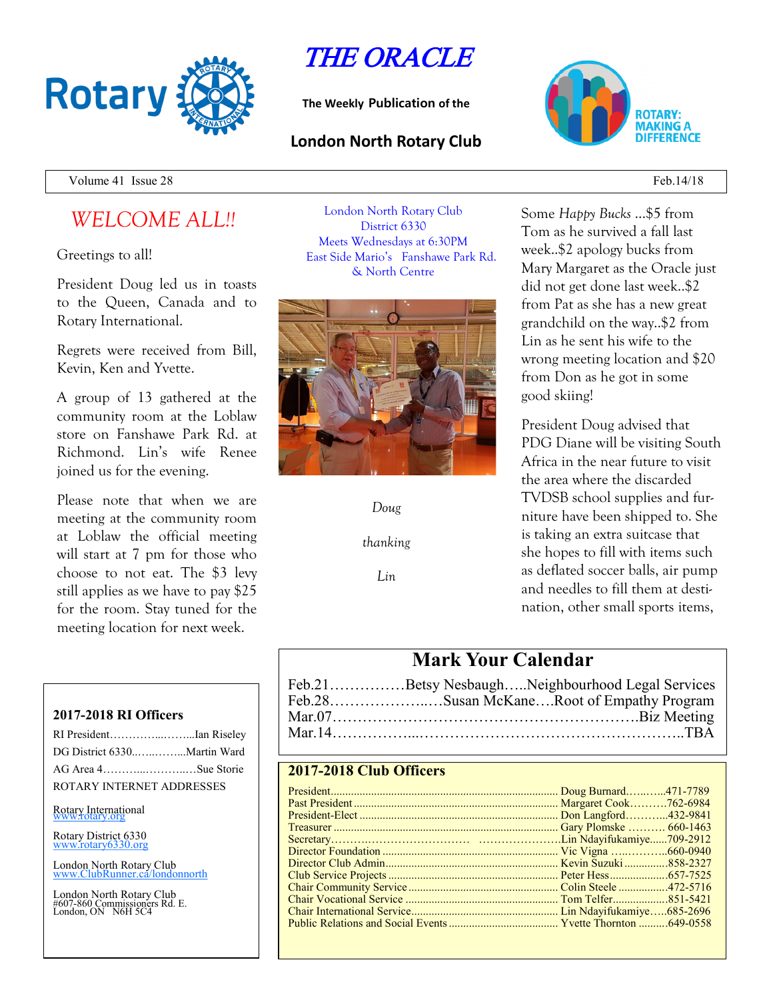

# THE ORACLE

**The Weekly Publication of the**

## **London North Rotary Club**



Volume 41 Issue 28 Feb. 14/18

## *WELCOME ALL!!*

Greetings to all!

President Doug led us in toasts to the Queen, Canada and to Rotary International.

Regrets were received from Bill, Kevin, Ken and Yvette.

A group of 13 gathered at the community room at the Loblaw store on Fanshawe Park Rd. at Richmond. Lin's wife Renee joined us for the evening.

Please note that when we are meeting at the community room at Loblaw the official meeting will start at 7 pm for those who choose to not eat. The \$3 levy still applies as we have to pay \$25 for the room. Stay tuned for the meeting location for next week.

#### **2017-2018 RI Officers**

| RI PresidentIan Riseley     |  |
|-----------------------------|--|
| DG District 6330Martin Ward |  |
| AG Area 4Sue Storie         |  |
| ROTARY INTERNET ADDRESSES   |  |

#### Rotary International

Rotary District 6330 [www.rotary6330.org](http://www.rotary6330.org/)

London North Rotary Club IubRunner.ca/londonnorth

London North Rotary Club #607-860 Commissioners Rd. E. London, ON N6H 5C4

London North Rotary Club District 6330 Meets Wednesdays at 6:30PM East Side Mario's Fanshawe Park Rd. & North Centre



*Doug*

*thanking*

*Lin*

Some *Happy Bucks* …\$5 from Tom as he survived a fall last week..\$2 apology bucks from Mary Margaret as the Oracle just did not get done last week..\$2 from Pat as she has a new great grandchild on the way..\$2 from Lin as he sent his wife to the wrong meeting location and \$20 from Don as he got in some good skiing!

President Doug advised that PDG Diane will be visiting South Africa in the near future to visit the area where the discarded TVDSB school supplies and furniture have been shipped to. She is taking an extra suitcase that she hopes to fill with items such as deflated soccer balls, air pump and needles to fill them at destination, other small sports items,

## **Mark Your Calendar**

|  | Feb.21Betsy NesbaughNeighbourhood Legal Services |
|--|--------------------------------------------------|
|  | Feb.28Susan McKaneRoot of Empathy Program        |
|  |                                                  |
|  |                                                  |

### **2017-2018 Club Officers**